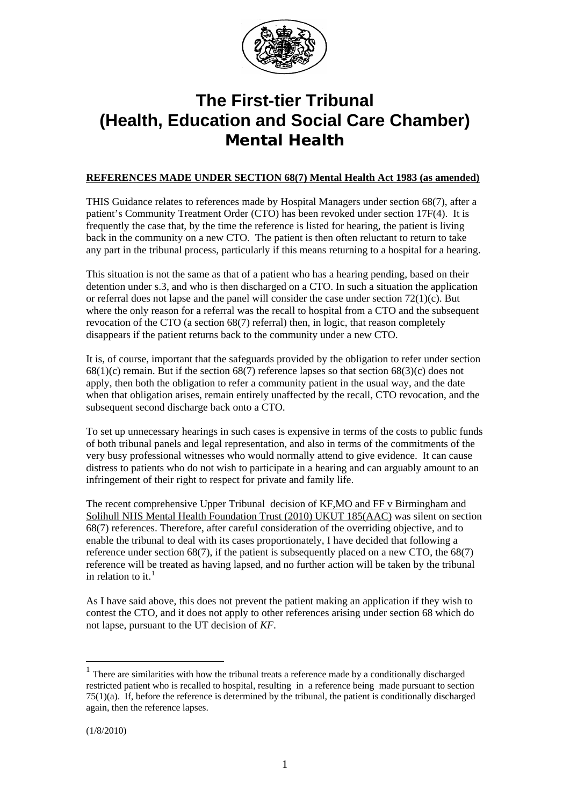

# **The First-tier Tribunal (Health, Education and Social Care Chamber) Mental Health**

## **REFERENCES MADE UNDER SECTION 68(7) Mental Health Act 1983 (as amended)**

THIS Guidance relates to references made by Hospital Managers under section 68(7), after a patient's Community Treatment Order (CTO) has been revoked under section 17F(4). It is frequently the case that, by the time the reference is listed for hearing, the patient is living back in the community on a new CTO. The patient is then often reluctant to return to take any part in the tribunal process, particularly if this means returning to a hospital for a hearing.

This situation is not the same as that of a patient who has a hearing pending, based on their detention under s.3, and who is then discharged on a CTO. In such a situation the application or referral does not lapse and the panel will consider the case under section 72(1)(c). But where the only reason for a referral was the recall to hospital from a CTO and the subsequent revocation of the CTO (a section 68(7) referral) then, in logic, that reason completely disappears if the patient returns back to the community under a new CTO.

It is, of course, important that the safeguards provided by the obligation to refer under section  $68(1)(c)$  remain. But if the section  $68(7)$  reference lapses so that section  $68(3)(c)$  does not apply, then both the obligation to refer a community patient in the usual way, and the date when that obligation arises, remain entirely unaffected by the recall, CTO revocation, and the subsequent second discharge back onto a CTO.

To set up unnecessary hearings in such cases is expensive in terms of the costs to public funds of both tribunal panels and legal representation, and also in terms of the commitments of the very busy professional witnesses who would normally attend to give evidence. It can cause distress to patients who do not wish to participate in a hearing and can arguably amount to an infringement of their right to respect for private and family life.

The recent comprehensive Upper Tribunal decision of KF,MO and FF v Birmingham and Solihull NHS Mental Health Foundation Trust (2010) UKUT 185(AAC) was silent on section 68(7) references. Therefore, after careful consideration of the overriding objective, and to enable the tribunal to deal with its cases proportionately, I have decided that following a reference under section  $68(7)$ , if the patient is subsequently placed on a new CTO, the  $68(7)$ reference will be treated as having lapsed, and no further action will be taken by the tribunal in relation to it. $<sup>1</sup>$  $<sup>1</sup>$  $<sup>1</sup>$ </sup>

As I have said above, this does not prevent the patient making an application if they wish to contest the CTO, and it does not apply to other references arising under section 68 which do not lapse, pursuant to the UT decision of *KF*.

1

<span id="page-0-0"></span> $1$  There are similarities with how the tribunal treats a reference made by a conditionally discharged restricted patient who is recalled to hospital, resulting in a reference being made pursuant to section  $75(1)(a)$ . If, before the reference is determined by the tribunal, the patient is conditionally discharged again, then the reference lapses.